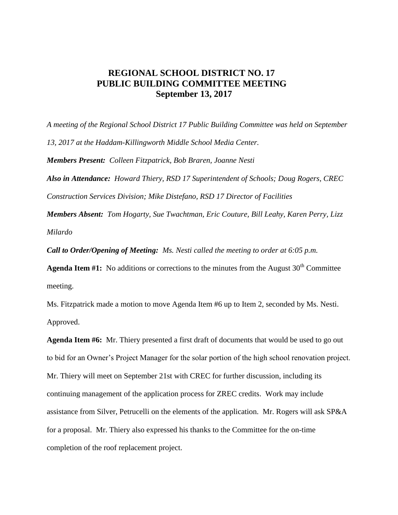## **REGIONAL SCHOOL DISTRICT NO. 17 PUBLIC BUILDING COMMITTEE MEETING September 13, 2017**

*A meeting of the Regional School District 17 Public Building Committee was held on September 13, 2017 at the Haddam-Killingworth Middle School Media Center. Members Present: Colleen Fitzpatrick, Bob Braren, Joanne Nesti Also in Attendance: Howard Thiery, RSD 17 Superintendent of Schools; Doug Rogers, CREC Construction Services Division; Mike Distefano, RSD 17 Director of Facilities Members Absent: Tom Hogarty, Sue Twachtman, Eric Couture, Bill Leahy, Karen Perry, Lizz* 

*Milardo*

*Call to Order/Opening of Meeting: Ms. Nesti called the meeting to order at 6:05 p.m.*

**Agenda Item #1:** No additions or corrections to the minutes from the August  $30<sup>th</sup>$  Committee meeting.

Ms. Fitzpatrick made a motion to move Agenda Item #6 up to Item 2, seconded by Ms. Nesti. Approved.

**Agenda Item #6:** Mr. Thiery presented a first draft of documents that would be used to go out to bid for an Owner's Project Manager for the solar portion of the high school renovation project. Mr. Thiery will meet on September 21st with CREC for further discussion, including its continuing management of the application process for ZREC credits. Work may include assistance from Silver, Petrucelli on the elements of the application. Mr. Rogers will ask SP&A for a proposal. Mr. Thiery also expressed his thanks to the Committee for the on-time completion of the roof replacement project.